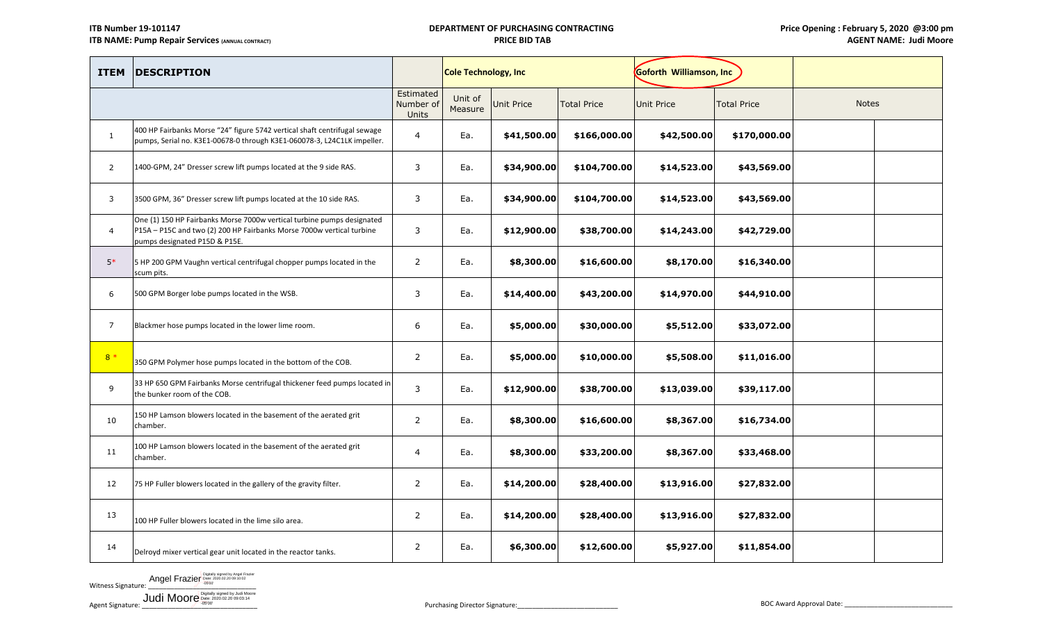# **DEPARTMENT OF PURCHASING CONTRACTING PRICE BID TAB**

| <b>ITEM</b>    | <b>DESCRIPTION</b>                                                                                                                                                               |                | <b>Cole Technology, Inc</b> |             |                    | Goforth Williamson, Inc |                    |              |  |
|----------------|----------------------------------------------------------------------------------------------------------------------------------------------------------------------------------|----------------|-----------------------------|-------------|--------------------|-------------------------|--------------------|--------------|--|
|                |                                                                                                                                                                                  |                | Unit of<br>Measure          | Unit Price  | <b>Total Price</b> | Unit Price              | <b>Total Price</b> | <b>Notes</b> |  |
| $\mathbf{1}$   | 400 HP Fairbanks Morse "24" figure 5742 vertical shaft centrifugal sewage<br>pumps, Serial no. K3E1-00678-0 through K3E1-060078-3, L24C1LK impeller.                             | 4              | Ea.                         | \$41,500.00 | \$166,000.00       | \$42,500.00             | \$170,000.00       |              |  |
| $\overline{2}$ | 1400-GPM, 24" Dresser screw lift pumps located at the 9 side RAS.                                                                                                                | 3              | Ea.                         | \$34,900.00 | \$104,700.00       | \$14,523.00             | \$43,569.00        |              |  |
| 3              | 3500 GPM, 36" Dresser screw lift pumps located at the 10 side RAS.                                                                                                               | 3              | Ea.                         | \$34,900.00 | \$104,700.00       | \$14,523.00             | \$43,569.00        |              |  |
| $\overline{4}$ | One (1) 150 HP Fairbanks Morse 7000w vertical turbine pumps designated<br>P15A - P15C and two (2) 200 HP Fairbanks Morse 7000w vertical turbine<br>pumps designated P15D & P15E. | 3              | Ea.                         | \$12,900.00 | \$38,700.00        | \$14,243.00             | \$42,729.00        |              |  |
| $5*$           | 5 HP 200 GPM Vaughn vertical centrifugal chopper pumps located in the<br>scum pits.                                                                                              | $\overline{2}$ | Ea.                         | \$8,300.00  | \$16,600.00        | \$8,170.00              | \$16,340.00        |              |  |
| 6              | 500 GPM Borger lobe pumps located in the WSB.                                                                                                                                    | 3              | Ea.                         | \$14,400.00 | \$43,200.00        | \$14,970.00             | \$44,910.00        |              |  |
| 7              | Blackmer hose pumps located in the lower lime room.                                                                                                                              | 6              | Ea.                         | \$5,000.00  | \$30,000.00        | \$5,512.00              | \$33,072.00        |              |  |
| $8 *$          | 350 GPM Polymer hose pumps located in the bottom of the COB.                                                                                                                     | $\overline{2}$ | Ea.                         | \$5,000.00  | \$10,000.00        | \$5,508.00              | \$11,016.00        |              |  |
| 9              | 33 HP 650 GPM Fairbanks Morse centrifugal thickener feed pumps located in<br>the bunker room of the COB.                                                                         | $\mathbf{3}$   | Ea.                         | \$12,900.00 | \$38,700.00        | \$13,039.00             | \$39,117.00        |              |  |
| 10             | 150 HP Lamson blowers located in the basement of the aerated grit<br>chamber.                                                                                                    | $\overline{2}$ | Ea.                         | \$8,300.00  | \$16,600.00        | \$8,367.00              | \$16,734.00        |              |  |
| 11             | 100 HP Lamson blowers located in the basement of the aerated grit<br>chamber.                                                                                                    | 4              | Ea.                         | \$8,300.00  | \$33,200.00        | \$8,367.00              | \$33,468.00        |              |  |
| 12             | 75 HP Fuller blowers located in the gallery of the gravity filter.                                                                                                               | $\overline{2}$ | Ea.                         | \$14,200.00 | \$28,400.00        | \$13,916.00             | \$27,832.00        |              |  |
| 13             | 100 HP Fuller blowers located in the lime silo area.                                                                                                                             | $\overline{2}$ | Ea.                         | \$14,200.00 | \$28,400.00        | \$13,916.00             | \$27,832.00        |              |  |
| 14             | Delroyd mixer vertical gear unit located in the reactor tanks.                                                                                                                   | $\overline{2}$ | Ea.                         | \$6,300.00  | \$12,600.00        | \$5,927.00              | \$11,854.00        |              |  |

Witness Signature: **Angel Frazier** Date: 2020.02.20 09:10:02<br>
Witness Signature: <u>Community of 2020.02.20 09:10:02</u>

Judi Moore Digitally signed by Judi Moore

Agent Signature: \_\_\_\_\_\_\_\_\_\_\_\_\_\_\_\_\_\_\_\_\_\_\_\_\_\_\_\_\_\_\_ Purchasing Director Signature:\_\_\_\_\_\_\_\_\_\_\_\_\_\_\_\_\_\_\_\_\_\_\_\_\_\_\_ BOC Award Approval Date: \_\_\_\_\_\_\_\_\_\_\_\_\_\_\_\_\_\_\_\_\_\_\_\_\_\_\_\_\_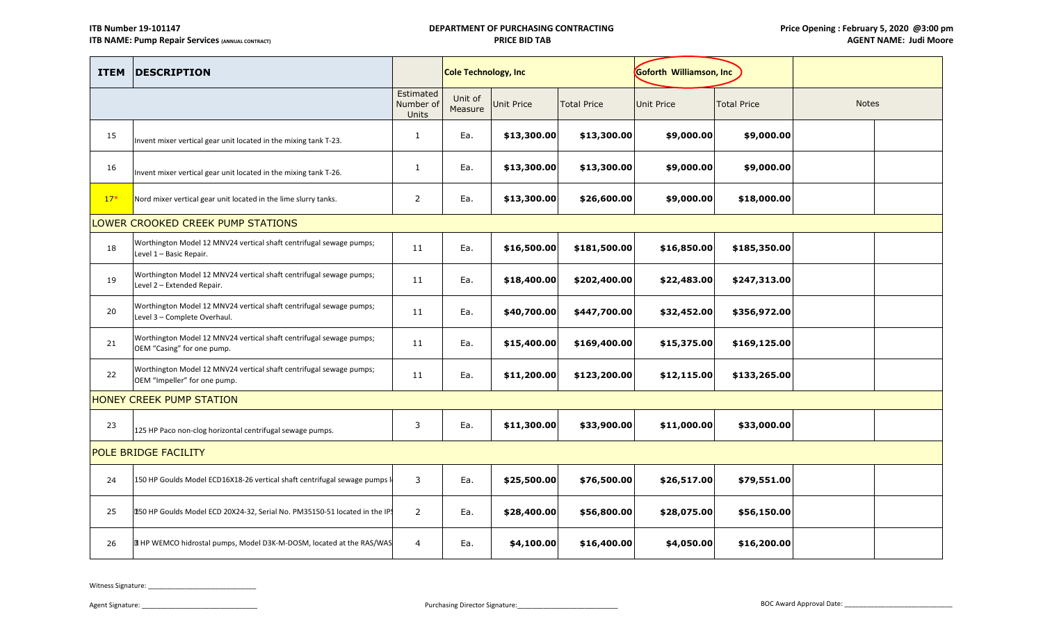| <b>ITEM</b> | <b>DESCRIPTION</b>                                                                                  |                                        | <b>Cole Technology, Inc</b> |             |                    | Goforth Williamson, Inc |                    |              |  |  |
|-------------|-----------------------------------------------------------------------------------------------------|----------------------------------------|-----------------------------|-------------|--------------------|-------------------------|--------------------|--------------|--|--|
|             |                                                                                                     | Estimated<br>Number of<br><b>Units</b> | Unit of<br>Measure          | Unit Price  | <b>Total Price</b> | <b>Unit Price</b>       | <b>Total Price</b> | <b>Notes</b> |  |  |
| 15          | Invent mixer vertical gear unit located in the mixing tank T-23.                                    | $\mathbf{1}$                           | Ea.                         | \$13,300.00 | \$13,300.00        | \$9,000.00              | \$9,000.00         |              |  |  |
| 16          | Invent mixer vertical gear unit located in the mixing tank T-26.                                    | $\mathbf{1}$                           | Ea.                         | \$13,300.00 | \$13,300.00        | \$9,000.00              | \$9,000.00         |              |  |  |
| $17*$       | Nord mixer vertical gear unit located in the lime slurry tanks.                                     | $\overline{2}$                         | Ea.                         | \$13,300.00 | \$26,600.00        | \$9,000.00              | \$18,000.00        |              |  |  |
|             | LOWER CROOKED CREEK PUMP STATIONS                                                                   |                                        |                             |             |                    |                         |                    |              |  |  |
| 18          | Worthington Model 12 MNV24 vertical shaft centrifugal sewage pumps;<br>Level 1 - Basic Repair.      | 11                                     | Ea.                         | \$16,500.00 | \$181,500.00       | \$16,850.00             | \$185,350.00       |              |  |  |
| 19          | Worthington Model 12 MNV24 vertical shaft centrifugal sewage pumps;<br>Level 2 - Extended Repair.   | 11                                     | Ea.                         | \$18,400.00 | \$202,400.00       | \$22,483.00             | \$247,313.00       |              |  |  |
| 20          | Worthington Model 12 MNV24 vertical shaft centrifugal sewage pumps;<br>Level 3 - Complete Overhaul. | 11                                     | Ea.                         | \$40,700.00 | \$447,700.00       | \$32,452.00             | \$356,972.00       |              |  |  |
| 21          | Worthington Model 12 MNV24 vertical shaft centrifugal sewage pumps;<br>OEM "Casing" for one pump.   | 11                                     | Ea.                         | \$15,400.00 | \$169,400.00       | \$15,375.00             | \$169,125.00       |              |  |  |
| 22          | Worthington Model 12 MNV24 vertical shaft centrifugal sewage pumps;<br>OEM "Impeller" for one pump. | 11                                     | Ea.                         | \$11,200.00 | \$123,200.00       | \$12,115.00             | \$133,265.00       |              |  |  |
|             | HONEY CREEK PUMP STATION                                                                            |                                        |                             |             |                    |                         |                    |              |  |  |
| 23          | 125 HP Paco non-clog horizontal centrifugal sewage pumps.                                           | 3                                      | Ea.                         | \$11,300.00 | \$33,900.00        | \$11,000.00             | \$33,000.00        |              |  |  |
|             | POLE BRIDGE FACILITY                                                                                |                                        |                             |             |                    |                         |                    |              |  |  |
| 24          | 150 HP Goulds Model ECD16X18-26 vertical shaft centrifugal sewage pumps I                           | 3                                      | Ea.                         | \$25,500.00 | \$76,500.00        | \$26,517.00             | \$79,551.00        |              |  |  |
| 25          | [150 HP Goulds Model ECD 20X24-32, Serial No. PM35150-51 located in the IPS                         | $\overline{2}$                         | Ea.                         | \$28,400.00 | \$56,800.00        | \$28,075.00             | \$56,150.00        |              |  |  |
| 26          | B HP WEMCO hidrostal pumps, Model D3K-M-DOSM, located at the RAS/WAS                                | 4                                      | Ea.                         | \$4,100.00  | \$16,400.00        | \$4,050.00              | \$16,200.00        |              |  |  |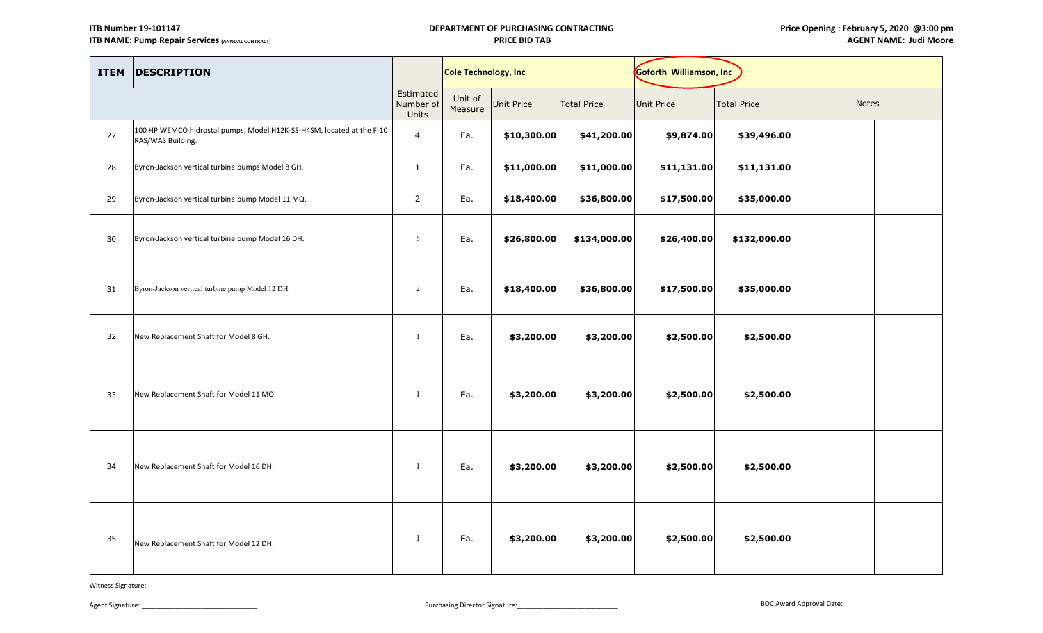## **DEPARTMENT OF PURCHASING CONTRACTING PRICE BID TAB**

| <b>ITEM</b> | <b>DESCRIPTION</b>                                                                         |                                 | Cole Technology, Inc |             |                    | Goforth Williamson, Inc |                    |       |  |
|-------------|--------------------------------------------------------------------------------------------|---------------------------------|----------------------|-------------|--------------------|-------------------------|--------------------|-------|--|
|             |                                                                                            | Estimated<br>Number of<br>Units | Unit of<br>Measure   | Unit Price  | <b>Total Price</b> | <b>Unit Price</b>       | <b>Total Price</b> | Notes |  |
| 27          | 100 HP WEMCO hidrostal pumps, Model H12K-SS-H4SM, located at the F-10<br>RAS/WAS Building. | $\overline{4}$                  | Ea.                  | \$10,300.00 | \$41,200.00        | \$9,874.00              | \$39,496.00        |       |  |
| 28          | Byron-Jackson vertical turbine pumps Model 8 GH.                                           | $\mathbf{1}$                    | Ea.                  | \$11,000.00 | \$11,000.00        | \$11,131.00             | \$11,131.00        |       |  |
| 29          | Byron-Jackson vertical turbine pump Model 11 MQ.                                           | $\overline{2}$                  | Ea.                  | \$18,400.00 | \$36,800.00        | \$17,500.00             | \$35,000.00        |       |  |
| 30          | Byron-Jackson vertical turbine pump Model 16 DH.                                           | $5\overline{)}$                 | Ea.                  | \$26,800.00 | \$134,000.00       | \$26,400.00             | \$132,000.00       |       |  |
| 31          | Byron-Jackson vertical turbine pump Model 12 DH.                                           | 2                               | Ea.                  | \$18,400.00 | \$36,800.00        | \$17,500.00             | \$35,000.00        |       |  |
| 32          | New Replacement Shaft for Model 8 GH.                                                      | -1                              | Ea.                  | \$3,200.00  | \$3,200.00         | \$2,500.00              | \$2,500.00         |       |  |
| 33          | New Replacement Shaft for Model 11 MQ.                                                     | -1                              | Ea.                  | \$3,200.00  | \$3,200.00         | \$2,500.00              | \$2,500.00         |       |  |
| 34          | New Replacement Shaft for Model 16 DH.                                                     | $\overline{1}$                  | Ea.                  | \$3,200.00  | \$3,200.00         | \$2,500.00              | \$2,500.00         |       |  |
| 35          | New Replacement Shaft for Model 12 DH.                                                     | -1                              | Ea.                  | \$3,200.00  | \$3,200.00         | \$2,500.00              | \$2,500.00         |       |  |

Witness Signature: \_\_\_\_\_\_\_\_\_\_\_\_\_\_\_\_\_\_\_\_\_\_\_\_\_\_\_\_\_

Agent Signature: \_\_\_\_\_\_\_\_\_\_\_\_\_\_\_\_\_\_\_\_\_\_\_\_\_\_\_\_\_\_\_ Purchasing Director Signature:\_\_\_\_\_\_\_\_\_\_\_\_\_\_\_\_\_\_\_\_\_\_\_\_\_\_\_ BOC Award Approval Date: \_\_\_\_\_\_\_\_\_\_\_\_\_\_\_\_\_\_\_\_\_\_\_\_\_\_\_\_\_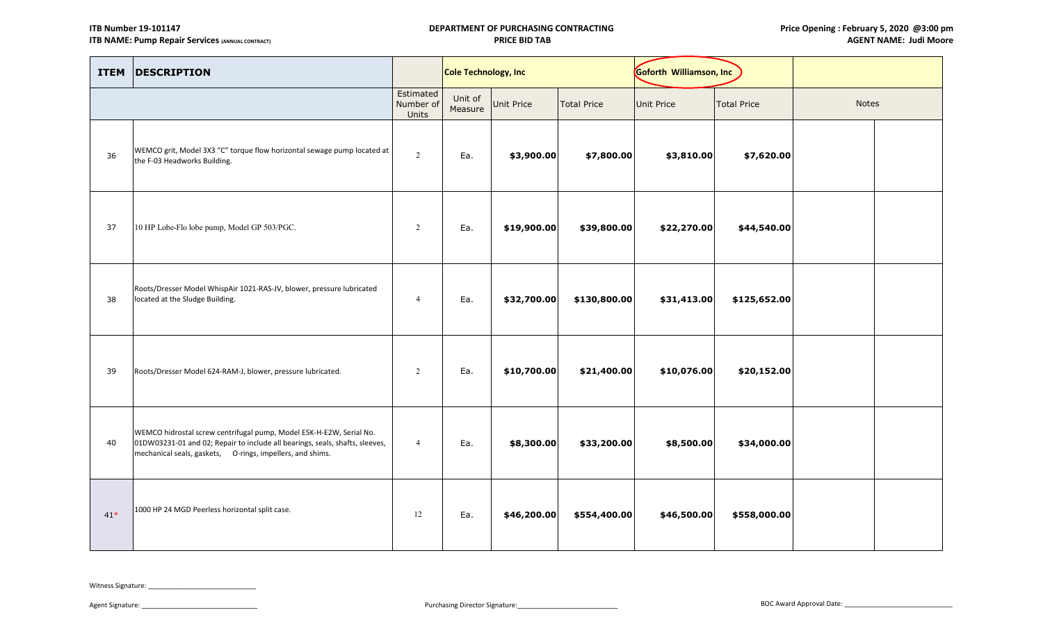| <b>ITEM</b> | <b>DESCRIPTION</b>                                                                                                                                                                                               |                                 | Cole Technology, Inc |             |                    | Goforth Williamson, Inc |                    |              |  |
|-------------|------------------------------------------------------------------------------------------------------------------------------------------------------------------------------------------------------------------|---------------------------------|----------------------|-------------|--------------------|-------------------------|--------------------|--------------|--|
|             |                                                                                                                                                                                                                  | Estimated<br>Number of<br>Units | Unit of<br>Measure   | Unit Price  | <b>Total Price</b> | <b>Unit Price</b>       | <b>Total Price</b> | <b>Notes</b> |  |
| 36          | WEMCO grit, Model 3X3 "C" torque flow horizontal sewage pump located at<br>the F-03 Headworks Building.                                                                                                          | 2                               | Ea.                  | \$3,900.00  | \$7,800.00         | \$3,810.00              | \$7,620.00         |              |  |
| 37          | 10 HP Lobe-Flo lobe pump, Model GP 503/PGC.                                                                                                                                                                      | 2                               | Ea.                  | \$19,900.00 | \$39,800.00        | \$22,270.00             | \$44,540.00        |              |  |
| 38          | Roots/Dresser Model WhispAir 1021-RAS-JV, blower, pressure lubricated<br>located at the Sludge Building.                                                                                                         | $\overline{4}$                  | Ea.                  | \$32,700.00 | \$130,800.00       | \$31,413.00             | \$125,652.00       |              |  |
| 39          | Roots/Dresser Model 624-RAM-J, blower, pressure lubricated.                                                                                                                                                      | 2                               | Ea.                  | \$10,700.00 | \$21,400.00        | \$10,076.00             | \$20,152.00        |              |  |
| 40          | WEMCO hidrostal screw centrifugal pump, Model E5K-H-E2W, Serial No.<br>01DW03231-01 and 02; Repair to include all bearings, seals, shafts, sleeves,<br>mechanical seals, gaskets, O-rings, impellers, and shims. | $\overline{4}$                  | Ea.                  | \$8,300.00  | \$33,200.00        | \$8,500.00              | \$34,000.00        |              |  |
| $41*$       | 1000 HP 24 MGD Peerless horizontal split case.                                                                                                                                                                   | 12                              | Ea.                  | \$46,200.00 | \$554,400.00       | \$46,500.00             | \$558,000.00       |              |  |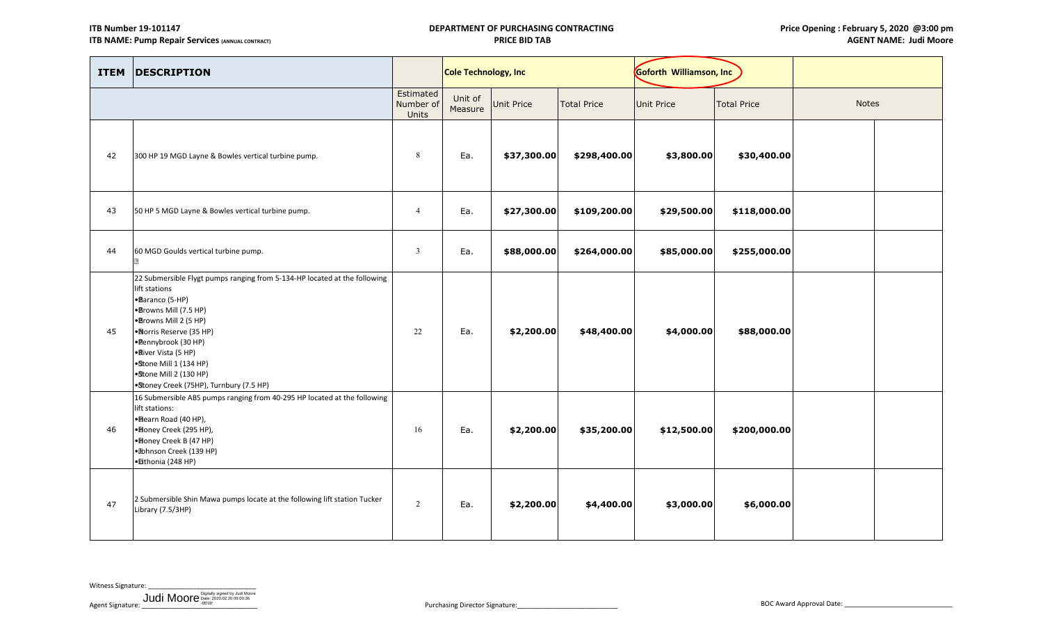## **DEPARTMENT OF PURCHASING CONTRACTING PRICE BID TAB**

| <b>ITEM</b> | <b>DESCRIPTION</b>                                                                                                                                                                                                                                                                                                                       |                                 | <b>Cole Technology, Inc</b> |             |                    | Goforth Williamson, Inc |                    |              |  |
|-------------|------------------------------------------------------------------------------------------------------------------------------------------------------------------------------------------------------------------------------------------------------------------------------------------------------------------------------------------|---------------------------------|-----------------------------|-------------|--------------------|-------------------------|--------------------|--------------|--|
|             |                                                                                                                                                                                                                                                                                                                                          | Estimated<br>Number of<br>Units | Unit of<br>Measure          | Unit Price  | <b>Total Price</b> | <b>Unit Price</b>       | <b>Total Price</b> | <b>Notes</b> |  |
| 42          | 300 HP 19 MGD Layne & Bowles vertical turbine pump.                                                                                                                                                                                                                                                                                      | 8                               | Ea.                         | \$37,300.00 | \$298,400.00       | \$3,800.00              | \$30,400.00        |              |  |
| 43          | 50 HP 5 MGD Layne & Bowles vertical turbine pump.                                                                                                                                                                                                                                                                                        | $\overline{4}$                  | Ea.                         | \$27,300.00 | \$109,200.00       | \$29,500.00             | \$118,000.00       |              |  |
| 44          | 60 MGD Goulds vertical turbine pump.                                                                                                                                                                                                                                                                                                     | $\overline{3}$                  | Ea.                         | \$88,000.00 | \$264,000.00       | \$85,000.00             | \$255,000.00       |              |  |
| 45          | 22 Submersible Flygt pumps ranging from 5-134-HP located at the following<br>lift stations<br>•Baranco (5-HP)<br>·Browns Mill (7.5 HP)<br>·Browns Mill 2 (5 HP)<br>·Norris Reserve (35 HP)<br>·Pennybrook (30 HP)<br>• River Vista (5 HP)<br>·Stone Mill 1 (134 HP)<br>·Stone Mill 2 (130 HP)<br>•Stoney Creek (75HP), Turnbury (7.5 HP) | 22                              | Ea.                         | \$2,200.00  | \$48,400.00        | \$4,000.00              | \$88,000.00        |              |  |
| 46          | 16 Submersible ABS pumps ranging from 40-295 HP located at the following<br>lift stations:<br>• Bearn Road (40 HP),<br>• Honey Creek (295 HP),<br>• Boney Creek B (47 HP)<br>· Ibhnson Creek (139 HP)<br>· Eithonia (248 HP)                                                                                                             | 16                              | Ea.                         | \$2,200.00  | \$35,200.00        | \$12,500.00             | \$200,000.00       |              |  |
| 47          | 2 Submersible Shin Mawa pumps locate at the following lift station Tucker<br>Library (7.5/3HP)                                                                                                                                                                                                                                           | 2                               | Ea.                         | \$2,200.00  | \$4,400.00         | \$3,000.00              | \$6,000.00         |              |  |

Witness Signature:

Agent Signature: \_\_\_\_\_\_\_\_\_\_\_\_\_\_\_\_\_\_\_\_\_\_\_\_\_\_\_\_\_\_\_ Purchasing Director Signature:\_\_\_\_\_\_\_\_\_\_\_\_\_\_\_\_\_\_\_\_\_\_\_\_\_\_\_ BOC Award Approval Date: \_\_\_\_\_\_\_\_\_\_\_\_\_\_\_\_\_\_\_\_\_\_\_\_\_\_\_\_\_ Judi Moore Digitally signed by Judi Moore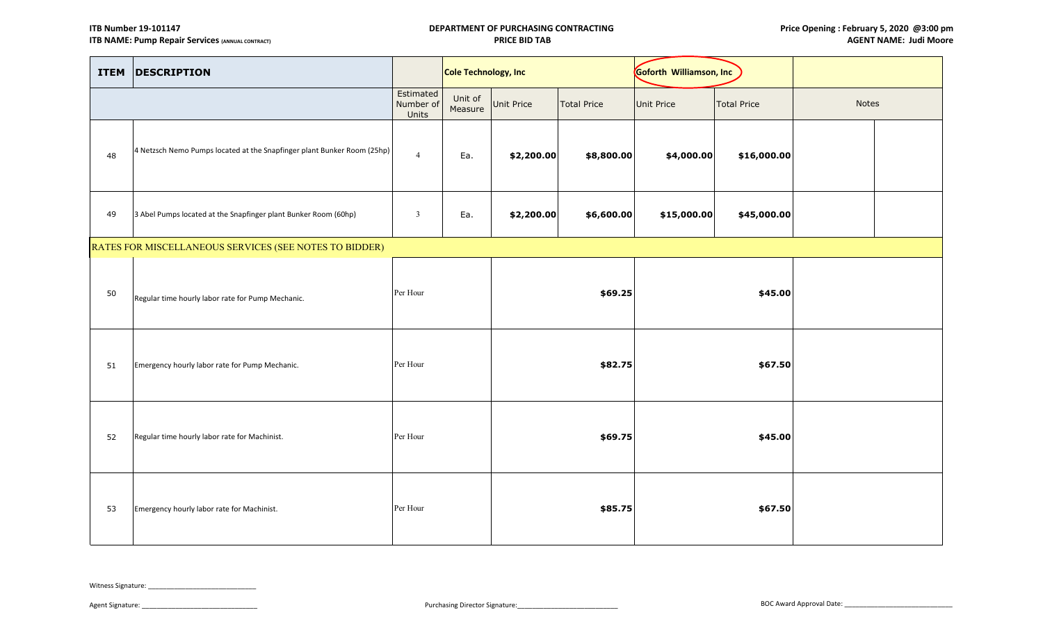## **DEPARTMENT OF PURCHASING CONTRACTING PRICE BID TAB**

| <b>ITEM</b> | <b>DESCRIPTION</b>                                                      |                                 | <b>Cole Technology, Inc</b> |            |                    | Goforth Williamson, Inc |                                         |  |       |  |
|-------------|-------------------------------------------------------------------------|---------------------------------|-----------------------------|------------|--------------------|-------------------------|-----------------------------------------|--|-------|--|
|             |                                                                         | Estimated<br>Number of<br>Units | Unit of<br>Measure          | Unit Price | <b>Total Price</b> |                         | <b>Total Price</b><br><b>Unit Price</b> |  | Notes |  |
| 48          | 4 Netzsch Nemo Pumps located at the Snapfinger plant Bunker Room (25hp) | $\overline{4}$                  | Ea.                         | \$2,200.00 | \$8,800.00         | \$4,000.00              | \$16,000.00                             |  |       |  |
| 49          | 3 Abel Pumps located at the Snapfinger plant Bunker Room (60hp)         | $\overline{\mathbf{3}}$         | Ea.                         | \$2,200.00 | \$6,600.00         | \$15,000.00             | \$45,000.00                             |  |       |  |
|             | RATES FOR MISCELLANEOUS SERVICES (SEE NOTES TO BIDDER)                  |                                 |                             |            |                    |                         |                                         |  |       |  |
| 50          | Regular time hourly labor rate for Pump Mechanic.                       | Per Hour                        |                             | \$69.25    |                    | \$45.00                 |                                         |  |       |  |
| 51          | Emergency hourly labor rate for Pump Mechanic.                          | Per Hour                        |                             |            | \$82.75            |                         | \$67.50                                 |  |       |  |
| 52          | Regular time hourly labor rate for Machinist.                           | Per Hour                        |                             | \$69.75    |                    | \$45.00                 |                                         |  |       |  |
| 53          | Emergency hourly labor rate for Machinist.                              | Per Hour                        |                             |            | \$85.75            |                         | \$67.50                                 |  |       |  |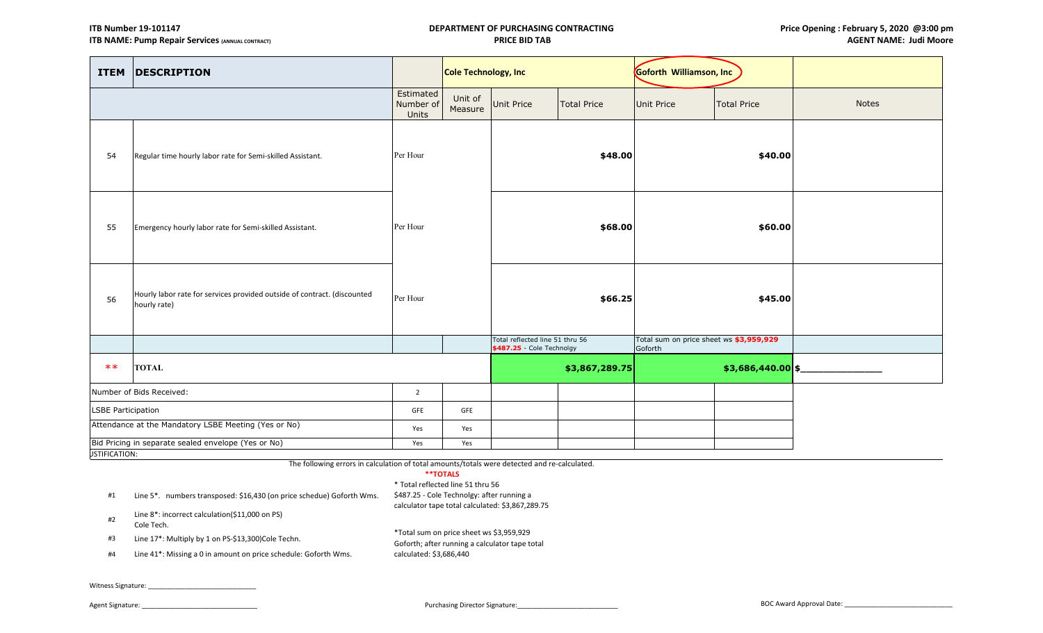| <b>ITEM</b>               | <b>DESCRIPTION</b>                                                                       |                                 | Cole Technology, Inc |                   |                                                                         | Goforth Williamson, Inc |                                         |              |
|---------------------------|------------------------------------------------------------------------------------------|---------------------------------|----------------------|-------------------|-------------------------------------------------------------------------|-------------------------|-----------------------------------------|--------------|
|                           |                                                                                          | Estimated<br>Number of<br>Units | Unit of<br>Measure   | <b>Unit Price</b> | <b>Total Price</b>                                                      | <b>Unit Price</b>       | <b>Total Price</b>                      | <b>Notes</b> |
| 54                        | Regular time hourly labor rate for Semi-skilled Assistant.                               | Per Hour                        |                      |                   | \$48.00                                                                 |                         | \$40.00                                 |              |
| 55                        | Emergency hourly labor rate for Semi-skilled Assistant.                                  | Per Hour                        |                      |                   | \$68.00                                                                 |                         | \$60.00                                 |              |
| 56                        | Hourly labor rate for services provided outside of contract. (discounted<br>hourly rate) | Per Hour                        |                      |                   | \$66.25                                                                 |                         | \$45.00                                 |              |
|                           |                                                                                          |                                 |                      |                   | Total reflected line 51 thru 56<br>\$487.25 - Cole Technolgy<br>Goforth |                         | Total sum on price sheet ws \$3,959,929 |              |
| $**$                      | <b>TOTAL</b>                                                                             |                                 |                      |                   | \$3,867,289.75                                                          |                         | $$3,686,440.00$ \$                      |              |
|                           | Number of Bids Received:                                                                 | $\overline{2}$                  |                      |                   |                                                                         |                         |                                         |              |
| <b>LSBE Participation</b> |                                                                                          | GFE                             | GFE                  |                   |                                                                         |                         |                                         |              |
|                           | Attendance at the Mandatory LSBE Meeting (Yes or No)                                     | Yes                             | Yes                  |                   |                                                                         |                         |                                         |              |
| <b>JSTIFICATION:</b>      | Bid Pricing in separate sealed envelope (Yes or No)                                      | Yes                             | Yes                  |                   |                                                                         |                         |                                         |              |

**\*\*TOTALS** The following errors in calculation of total amounts/totals were detected and re-calculated.

| .                                 |  |  |
|-----------------------------------|--|--|
| * Total reflected line 51 thru 56 |  |  |

calculated: \$3,686,440

#1 Line 5\*. numbers transposed: \$16,430 (on price schedue) Goforth Wms. #2 Line 8\*: incorrect calculation(\$11,000 on PS) Cole Tech. #3 Line 17\*: Multiply by 1 on PS-\$13,300)Cole Techn. \$487.25 - Cole Technolgy: after running a calculator tape total calculated: \$3,867,289.75 \*Total sum on price sheet ws \$3,959,929 Goforth; after running a calculator tape total

#4 Line 41\*: Missing a 0 in amount on price schedule: Goforth Wms.

Witness Signature: \_\_\_\_\_\_\_\_\_\_\_\_\_\_\_\_\_\_\_\_\_\_\_\_\_\_\_\_\_

Agent Signature: \_\_\_\_\_\_\_\_\_\_\_\_\_\_\_\_\_\_\_\_\_\_\_\_\_\_\_\_\_\_\_ Purchasing Director Signature:\_\_\_\_\_\_\_\_\_\_\_\_\_\_\_\_\_\_\_\_\_\_\_\_\_\_\_ BOC Award Approval Date: \_\_\_\_\_\_\_\_\_\_\_\_\_\_\_\_\_\_\_\_\_\_\_\_\_\_\_\_\_